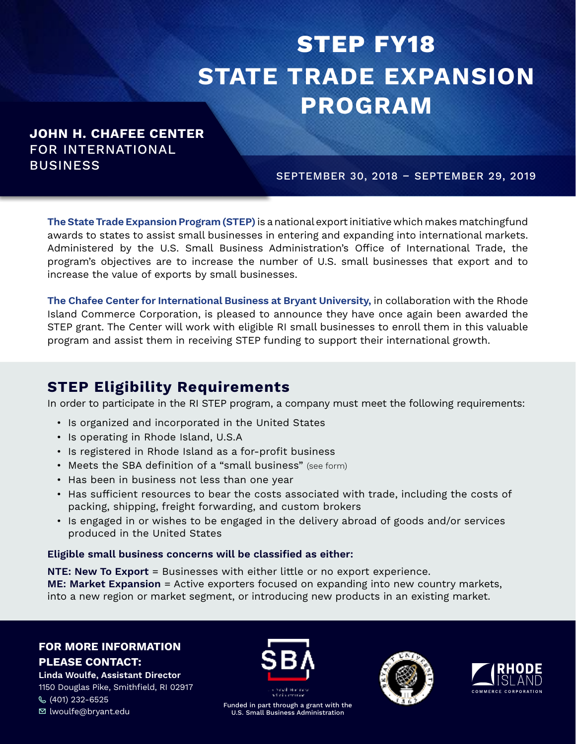# **STEP FY18 STATE TRADE EXPANSION PROGRAM**

# **JOHN H. CHAFEE CENTER** FOR INTERNATIONAL **BUSINESS**

## SEPTEMBER 30, 2018 – SEPTEMBER 29, 2019

**The State Trade Expansion Program (STEP)**is a national export initiative which makes matchingfund awards to states to assist small businesses in entering and expanding into international markets. Administered by the U.S. Small Business Administration's Office of International Trade, the program's objectives are to increase the number of U.S. small businesses that export and to increase the value of exports by small businesses.

**The Chafee Center for International Business at Bryant University,** in collaboration with the Rhode Island Commerce Corporation, is pleased to announce they have once again been awarded the STEP grant. The Center will work with eligible RI small businesses to enroll them in this valuable program and assist them in receiving STEP funding to support their international growth.

# **STEP Eligibility Requirements**

In order to participate in the RI STEP program, a company must meet the following requirements:

- Is organized and incorporated in the United States
- Is operating in Rhode Island, U.S.A
- Is registered in Rhode Island as a for-profit business
- Meets the SBA definition of a "small business" (see form)
- Has been in business not less than one year
- Has sufficient resources to bear the costs associated with trade, including the costs of packing, shipping, freight forwarding, and custom brokers
- Is engaged in or wishes to be engaged in the delivery abroad of goods and/or services produced in the United States

#### **Eligible small business concerns will be classified as either:**

**NTE: New To Export** = Businesses with either little or no export experience. **ME: Market Expansion** = Active exporters focused on expanding into new country markets, into a new region or market segment, or introducing new products in an existing market.

## **FOR MORE INFORMATION PLEASE CONTACT:**

**Linda Woulfe, Assistant Director** 1150 Douglas Pike, Smithfield, RI 02917 (401) 232-6525 lwoulfe@bryant.edu



Funded in part through a grant with the U.S. Small Business Administration



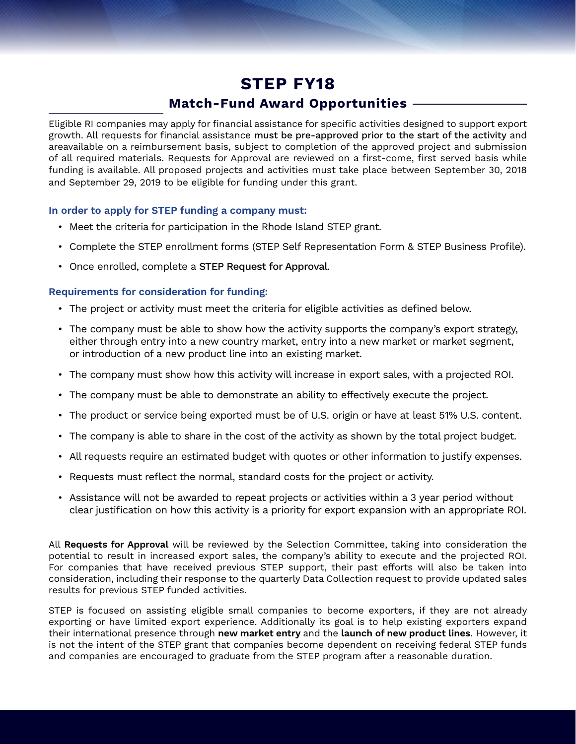# **STEP FY18**

## **Match-Fund Award Opportunities**

Eligible RI companies may apply for financial assistance for specific activities designed to support export growth. All requests for financial assistance must be pre-approved prior to the start of the activity and areavailable on a reimbursement basis, subject to completion of the approved project and submission of all required materials. Requests for Approval are reviewed on a first-come, first served basis while funding is available. All proposed projects and activities must take place between September 30, 2018 and September 29, 2019 to be eligible for funding under this grant.

#### **In order to apply for STEP funding a company must:**

- Meet the criteria for participation in the Rhode Island STEP grant.
- Complete the STEP enrollment forms (STEP Self Representation Form & STEP Business Profile).
- Once enrolled, complete a STEP Request for Approval.

#### **Requirements for consideration for funding:**

- The project or activity must meet the criteria for eligible activities as defined below.
- The company must be able to show how the activity supports the company's export strategy, either through entry into a new country market, entry into a new market or market segment, or introduction of a new product line into an existing market.
- The company must show how this activity will increase in export sales, with a projected ROI.
- The company must be able to demonstrate an ability to effectively execute the project.
- The product or service being exported must be of U.S. origin or have at least 51% U.S. content.
- The company is able to share in the cost of the activity as shown by the total project budget.
- All requests require an estimated budget with quotes or other information to justify expenses.
- Requests must reflect the normal, standard costs for the project or activity.
- Assistance will not be awarded to repeat projects or activities within a 3 year period without clear justification on how this activity is a priority for export expansion with an appropriate ROI.

All **Requests for Approval** will be reviewed by the Selection Committee, taking into consideration the potential to result in increased export sales, the company's ability to execute and the projected ROI. For companies that have received previous STEP support, their past efforts will also be taken into consideration, including their response to the quarterly Data Collection request to provide updated sales results for previous STEP funded activities.

STEP is focused on assisting eligible small companies to become exporters, if they are not already exporting or have limited export experience. Additionally its goal is to help existing exporters expand their international presence through **new market entry** and the **launch of new product lines**. However, it is not the intent of the STEP grant that companies become dependent on receiving federal STEP funds and companies are encouraged to graduate from the STEP program after a reasonable duration.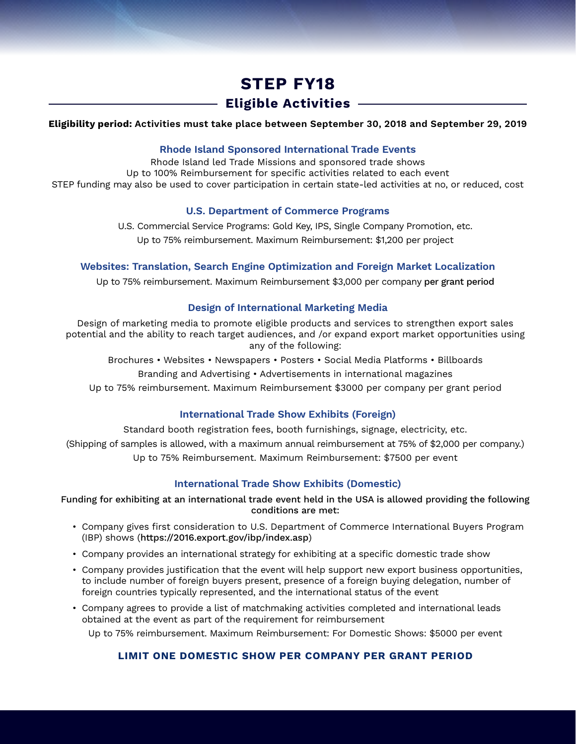# **STEP FY18**

# **Eligible Activities**

#### **Eligibility period: Activities must take place between September 30, 2018 and September 29, 2019**

#### **Rhode Island Sponsored International Trade Events**

Rhode Island led Trade Missions and sponsored trade shows Up to 100% Reimbursement for specific activities related to each event STEP funding may also be used to cover participation in certain state-led activities at no, or reduced, cost

#### **U.S. Department of Commerce Programs**

U.S. Commercial Service Programs: Gold Key, IPS, Single Company Promotion, etc. Up to 75% reimbursement. Maximum Reimbursement: \$1,200 per project

#### **Websites: Translation, Search Engine Optimization and Foreign Market Localization**

Up to 75% reimbursement. Maximum Reimbursement \$3,000 per company per grant period

#### **Design of International Marketing Media**

Design of marketing media to promote eligible products and services to strengthen export sales potential and the ability to reach target audiences, and /or expand export market opportunities using any of the following:

Brochures • Websites • Newspapers • Posters • Social Media Platforms • Billboards

Branding and Advertising • Advertisements in international magazines

Up to 75% reimbursement. Maximum Reimbursement \$3000 per company per grant period

#### **International Trade Show Exhibits (Foreign)**

Standard booth registration fees, booth furnishings, signage, electricity, etc. (Shipping of samples is allowed, with a maximum annual reimbursement at 75% of \$2,000 per company.) Up to 75% Reimbursement. Maximum Reimbursement: \$7500 per event

#### **International Trade Show Exhibits (Domestic)**

Funding for exhibiting at an international trade event held in the USA is allowed providing the following conditions are met:

- Company gives first consideration to U.S. Department of Commerce International Buyers Program (IBP) shows (https://2016.export.gov/ibp/index.asp)
- Company provides an international strategy for exhibiting at a specific domestic trade show
- Company provides justification that the event will help support new export business opportunities, to include number of foreign buyers present, presence of a foreign buying delegation, number of foreign countries typically represented, and the international status of the event
- Company agrees to provide a list of matchmaking activities completed and international leads obtained at the event as part of the requirement for reimbursement Up to 75% reimbursement. Maximum Reimbursement: For Domestic Shows: \$5000 per event

#### **LIMIT ONE DOMESTIC SHOW PER COMPANY PER GRANT PERIOD**